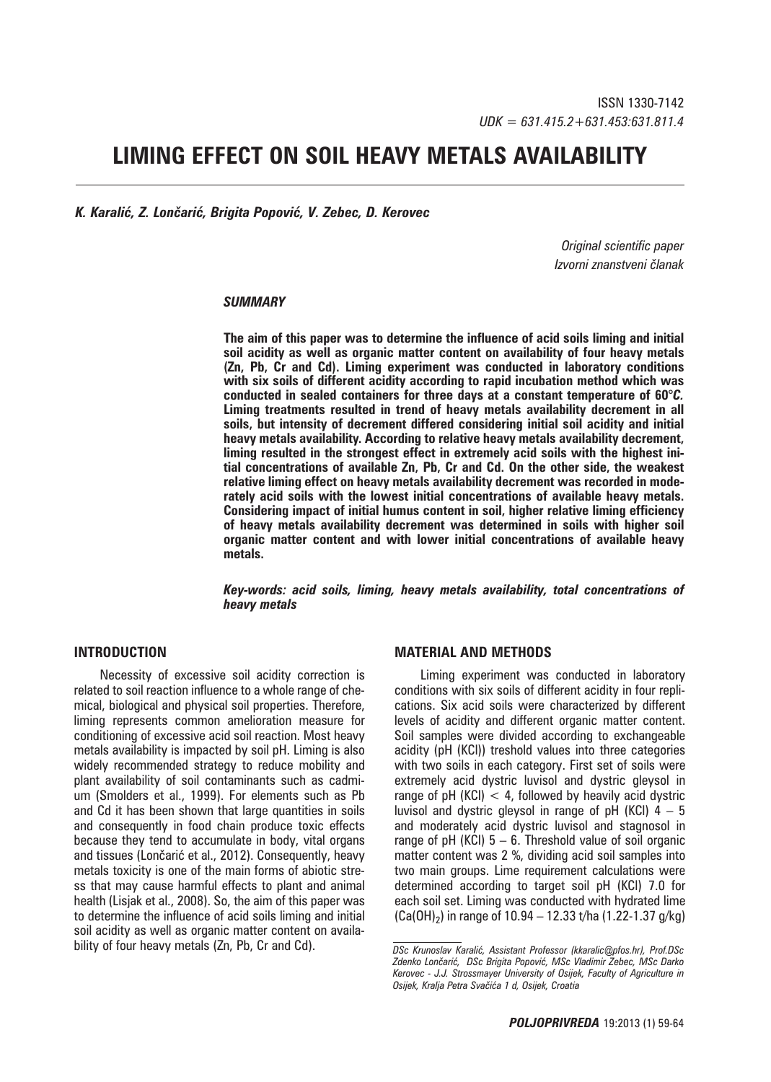# **LIMING EFFECT ON SOIL HEAVY METALS AVAILABILITY**

*K. Karalić, Z. Lončarić, Brigita Popović, V. Zebec, D. Kerovec*

*Original scientific paper Izvorni znanstveni članak*

#### *SUMMARY*

**The aim of this paper was to determine the influence of acid soils liming and initial soil acidity as well as organic matter content on availability of four heavy metals (Zn, Pb, Cr and Cd). Liming experiment was conducted in laboratory conditions with six soils of different acidity according to rapid incubation method which was conducted in sealed containers for three days at a constant temperature of 60***°C.*  **Liming treatments resulted in trend of heavy metals availability decrement in all soils, but intensity of decrement differed considering initial soil acidity and initial heavy metals availability. According to relative heavy metals availability decrement, liming resulted in the strongest effect in extremely acid soils with the highest initial concentrations of available Zn, Pb, Cr and Cd. On the other side, the weakest relative liming effect on heavy metals availability decrement was recorded in moderately acid soils with the lowest initial concentrations of available heavy metals. Considering impact of initial humus content in soil, higher relative liming efficiency of heavy metals availability decrement was determined in soils with higher soil organic matter content and with lower initial concentrations of available heavy metals.** 

*Key-words: acid soils, liming, heavy metals availability, total concentrations of heavy metals* 

## **INTRODUCTION**

Necessity of excessive soil acidity correction is related to soil reaction influence to a whole range of chemical, biological and physical soil properties. Therefore, liming represents common amelioration measure for conditioning of excessive acid soil reaction. Most heavy metals availability is impacted by soil pH. Liming is also widely recommended strategy to reduce mobility and plant availability of soil contaminants such as cadmium (Smolders et al., 1999). For elements such as Pb and Cd it has been shown that large quantities in soils and consequently in food chain produce toxic effects because they tend to accumulate in body, vital organs and tissues (Lončarić et al., 2012). Consequently, heavy metals toxicity is one of the main forms of abiotic stress that may cause harmful effects to plant and animal health (Lisjak et al., 2008). So, the aim of this paper was to determine the influence of acid soils liming and initial soil acidity as well as organic matter content on availability of four heavy metals (Zn, Pb, Cr and Cd).

#### **MATERIAL AND METHODS**

Liming experiment was conducted in laboratory conditions with six soils of different acidity in four replications. Six acid soils were characterized by different levels of acidity and different organic matter content. Soil samples were divided according to exchangeable acidity (pH (KCl)) treshold values into three categories with two soils in each category. First set of soils were extremely acid dystric luvisol and dystric gleysol in range of pH (KCl)  $<$  4, followed by heavily acid dystric luvisol and dystric gleysol in range of pH (KCl)  $4 - 5$ and moderately acid dystric luvisol and stagnosol in range of pH (KCl)  $5 - 6$ . Threshold value of soil organic matter content was 2 %, dividing acid soil samples into two main groups. Lime requirement calculations were determined according to target soil pH (KCl) 7.0 for each soil set. Liming was conducted with hydrated lime  $(Ca(OH)_2)$  in range of 10.94 – 12.33 t/ha (1.22-1.37 g/kg)

*DSc Krunoslav Karalić, Assistant Professor (kkaralic*@*pfos.hr), Prof.DSc Zdenko Lončarić, DSc Brigita Popović, MSc Vladimir Zebec, MSc Darko Kerovec - J.J. Strossmayer University of Osijek, Faculty of Agriculture in Osijek, Kralja Petra Svačića 1 d, Osijek, Croatia*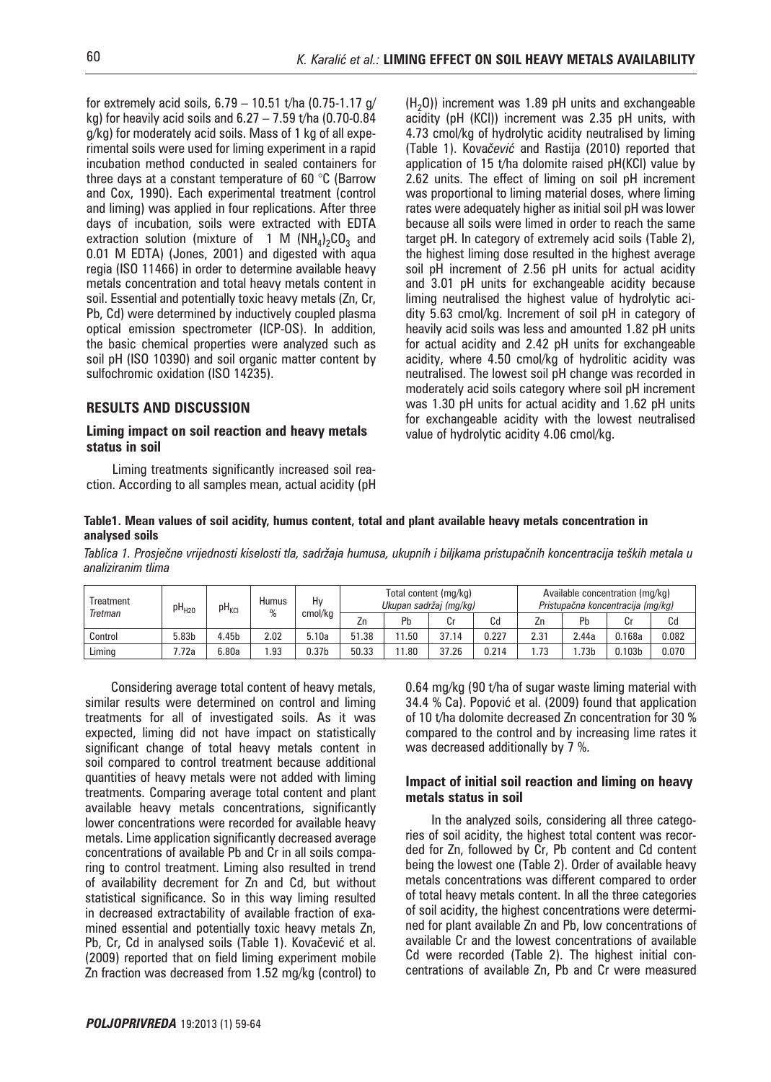for extremely acid soils,  $6.79 - 10.51$  t/ha (0.75-1.17 g/ kg) for heavily acid soils and  $6.27 - 7.59$  t/ha (0.70-0.84 g/kg) for moderately acid soils. Mass of 1 kg of all experimental soils were used for liming experiment in a rapid incubation method conducted in sealed containers for three days at a constant temperature of 60 °C (Barrow and Cox, 1990). Each experimental treatment (control and liming) was applied in four replications. After three days of incubation, soils were extracted with EDTA extraction solution (mixture of 1 M  $(NH_4)_2CO_3$  and 0.01 M EDTA) (Jones, 2001) and digested with aqua regia (ISO 11466) in order to determine available heavy metals concentration and total heavy metals content in soil. Essential and potentially toxic heavy metals (Zn, Cr, Pb, Cd) were determined by inductively coupled plasma optical emission spectrometer (ICP-OS). In addition, the basic chemical properties were analyzed such as soil pH (ISO 10390) and soil organic matter content by sulfochromic oxidation (ISO 14235).

# **RESULTS AND DISCUSSION**

#### **Liming impact on soil reaction and heavy metals status in soil**

Liming treatments significantly increased soil reaction. According to all samples mean, actual acidity (pH

 $(H<sub>2</sub>O)$ ) increment was 1.89 pH units and exchangeable acidity (pH (KCl)) increment was 2.35 pH units, with 4.73 cmol/kg of hydrolytic acidity neutralised by liming (Table 1). Kova*čević* and Rastija (2010) reported that application of 15 t/ha dolomite raised pH(KCl) value by 2.62 units. The effect of liming on soil pH increment was proportional to liming material doses, where liming rates were adequately higher as initial soil pH was lower because all soils were limed in order to reach the same target pH. In category of extremely acid soils (Table 2), the highest liming dose resulted in the highest average soil pH increment of 2.56 pH units for actual acidity and 3.01 pH units for exchangeable acidity because liming neutralised the highest value of hydrolytic acidity 5.63 cmol/kg. Increment of soil pH in category of heavily acid soils was less and amounted 1.82 pH units for actual acidity and 2.42 pH units for exchangeable acidity, where 4.50 cmol/kg of hydrolitic acidity was neutralised. The lowest soil pH change was recorded in moderately acid soils category where soil pH increment was 1.30 pH units for actual acidity and 1.62 pH units for exchangeable acidity with the lowest neutralised value of hydrolytic acidity 4.06 cmol/kg.

#### **Table1. Mean values of soil acidity, humus content, total and plant available heavy metals concentration in analysed soils**

*Tablica 1. Prosječne vrijednosti kiselosti tla, sadržaja humusa, ukupnih i biljkama pristupačnih koncentracija teških metala u analiziranim tlima*

| Treatment<br>Tretman | pH <sub>H20</sub> | pH <sub>KCI</sub> | Humus<br>% | Hv<br>cmol/kg | Total content (mg/kg)<br>Ukupan sadržaj (mg/kg) |      |       |       | Available concentration (mg/kg)<br>Pristupačna koncentracija (mg/kg) |       |                    |       |
|----------------------|-------------------|-------------------|------------|---------------|-------------------------------------------------|------|-------|-------|----------------------------------------------------------------------|-------|--------------------|-------|
|                      |                   |                   |            |               | Zn                                              | Pb   |       | Cd    | Zn                                                                   | Pb    |                    | Cd    |
| Control              | 5.83b             | .45b              | 2.02       | 5.10a         | 51.38                                           | . 50 | 37.14 | 0.227 | 2.31                                                                 | 2.44a | 0.168a             | 0.082 |
| Liming               | '.72a             | 6.80a             | .93        | 0.37b         | 50.33                                           | .80  | 37.26 | 0.214 | .73                                                                  | .73b  | 0.103 <sub>b</sub> | 0.070 |

Considering average total content of heavy metals, similar results were determined on control and liming treatments for all of investigated soils. As it was expected, liming did not have impact on statistically significant change of total heavy metals content in soil compared to control treatment because additional quantities of heavy metals were not added with liming treatments. Comparing average total content and plant available heavy metals concentrations, significantly lower concentrations were recorded for available heavy metals. Lime application significantly decreased average concentrations of available Pb and Cr in all soils comparing to control treatment. Liming also resulted in trend of availability decrement for Zn and Cd, but without statistical significance. So in this way liming resulted in decreased extractability of available fraction of examined essential and potentially toxic heavy metals Zn, Pb, Cr, Cd in analysed soils (Table 1). Kovačević et al. (2009) reported that on field liming experiment mobile Zn fraction was decreased from 1.52 mg/kg (control) to

0.64 mg/kg (90 t/ha of sugar waste liming material with 34.4 % Ca). Popović et al. (2009) found that application of 10 t/ha dolomite decreased Zn concentration for 30 % compared to the control and by increasing lime rates it was decreased additionally by 7 %.

## **Impact of initial soil reaction and liming on heavy metals status in soil**

In the analyzed soils, considering all three categories of soil acidity, the highest total content was recorded for Zn, followed by Cr, Pb content and Cd content being the lowest one (Table 2). Order of available heavy metals concentrations was different compared to order of total heavy metals content. In all the three categories of soil acidity, the highest concentrations were determined for plant available Zn and Pb, low concentrations of available Cr and the lowest concentrations of available Cd were recorded (Table 2). The highest initial concentrations of available Zn, Pb and Cr were measured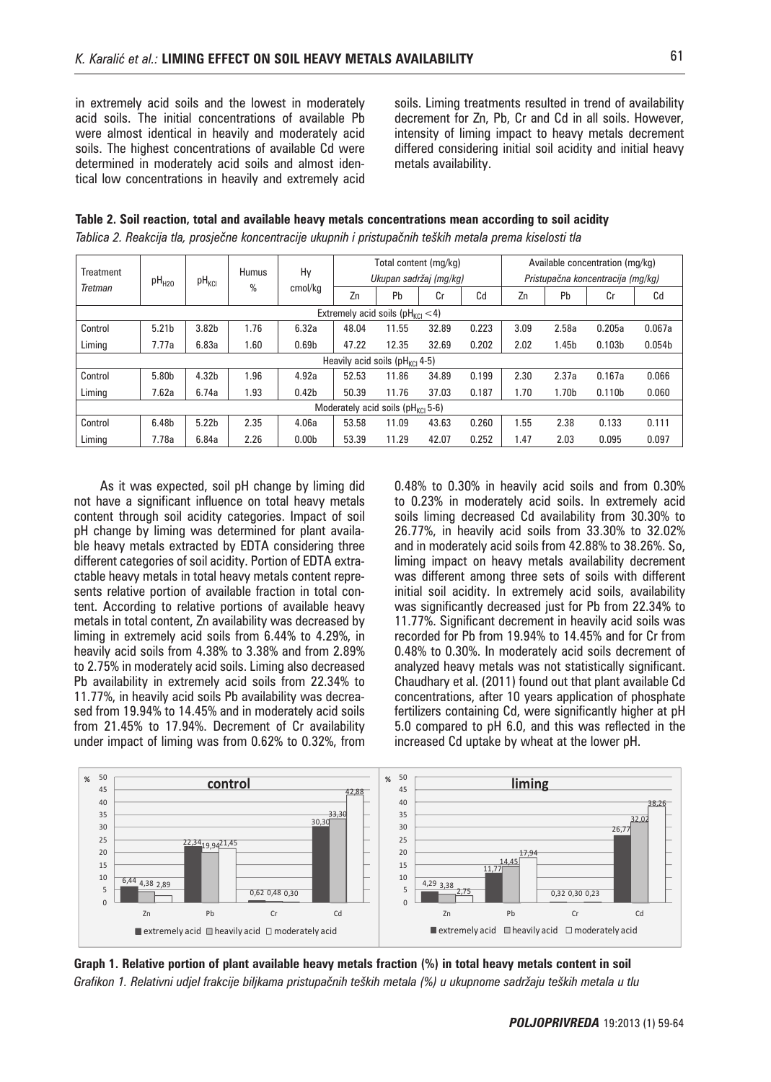in extremely acid soils and the lowest in moderately acid soils. The initial concentrations of available Pb were almost identical in heavily and moderately acid soils. The highest concentrations of available Cd were determined in moderately acid soils and almost identical low concentrations in heavily and extremely acid soils. Liming treatments resulted in trend of availability decrement for Zn, Pb, Cr and Cd in all soils. However, intensity of liming impact to heavy metals decrement differed considering initial soil acidity and initial heavy metals availability.

|                                                  |                                      |                   |                   |                   |       |       | Total content (mg/kg)  |       | Available concentration (mg/kg)   |                   |                    |                |
|--------------------------------------------------|--------------------------------------|-------------------|-------------------|-------------------|-------|-------|------------------------|-------|-----------------------------------|-------------------|--------------------|----------------|
| <b>Treatment</b><br>pH <sub>H20</sub><br>Tretman |                                      | $pH_{KCl}$        | <b>Humus</b><br>% | Hy<br>cmol/kg     |       |       | Ukupan sadržaj (mg/kg) |       | Pristupačna koncentracija (mg/kg) |                   |                    |                |
|                                                  |                                      |                   |                   |                   | Zn    | Pb    | Cr                     | Cd    | Zn                                | Pb                | Cr                 | C <sub>d</sub> |
| Extremely acid soils ( $pH_{\text{KCl}}$ < 4)    |                                      |                   |                   |                   |       |       |                        |       |                                   |                   |                    |                |
| Control                                          | 5.21 <sub>b</sub>                    | 3.82b             | 1.76              | 6.32a             | 48.04 | 11.55 | 32.89                  | 0.223 | 3.09                              | 2.58a             | 0.205a             | 0.067a         |
| Liming                                           | 7.77a                                | 6.83a             | 1.60              | 0.69 <sub>b</sub> | 47.22 | 12.35 | 32.69                  | 0.202 | 2.02                              | 1.45 <sub>b</sub> | 0.103 <sub>b</sub> | 0.054b         |
| Heavily acid soils (pH <sub>KCI</sub> 4-5)       |                                      |                   |                   |                   |       |       |                        |       |                                   |                   |                    |                |
| Control                                          | 5.80b                                | 4.32b             | 1.96              | 4.92a             | 52.53 | 11.86 | 34.89                  | 0.199 | 2.30                              | 2.37a             | 0.167a             | 0.066          |
| Liming                                           | 7.62a                                | 6.74a             | 1.93              | 0.42 <sub>b</sub> | 50.39 | 11.76 | 37.03                  | 0.187 | 1.70                              | 1.70 <sub>b</sub> | 0.110 <sub>b</sub> | 0.060          |
|                                                  | Moderately acid soils ( $pHKCl$ 5-6) |                   |                   |                   |       |       |                        |       |                                   |                   |                    |                |
| Control                                          | 6.48b                                | 5.22 <sub>b</sub> | 2.35              | 4.06a             | 53.58 | 11.09 | 43.63                  | 0.260 | 1.55                              | 2.38              | 0.133              | 0.111          |
| Liming                                           | 7.78a                                | 6.84a             | 2.26              | 0.00 <sub>b</sub> | 53.39 | 11.29 | 42.07                  | 0.252 | 1.47                              | 2.03              | 0.095              | 0.097          |

**Table 2. Soil reaction, total and available heavy metals concentrations mean according to soil acidity**  *Tablica 2. Reakcija tla, prosječne koncentracije ukupnih i pristupačnih teških metala prema kiselosti tla*

As it was expected, soil pH change by liming did not have a significant influence on total heavy metals content through soil acidity categories. Impact of soil pH change by liming was determined for plant available heavy metals extracted by EDTA considering three different categories of soil acidity. Portion of EDTA extractable heavy metals in total heavy metals content represents relative portion of available fraction in total content. According to relative portions of available heavy metals in total content, Zn availability was decreased by liming in extremely acid soils from 6.44% to 4.29%, in heavily acid soils from 4.38% to 3.38% and from 2.89% to 2.75% in moderately acid soils. Liming also decreased Pb availability in extremely acid soils from 22.34% to 11.77%, in heavily acid soils Pb availability was decreased from 19.94% to 14.45% and in moderately acid soils from 21.45% to 17.94%. Decrement of Cr availability under impact of liming was from 0.62% to 0.32%, from

0.48% to 0.30% in heavily acid soils and from 0.30% to 0.23% in moderately acid soils. In extremely acid soils liming decreased Cd availability from 30.30% to 26.77%, in heavily acid soils from 33.30% to 32.02% and in moderately acid soils from 42.88% to 38.26%. So, liming impact on heavy metals availability decrement was different among three sets of soils with different initial soil acidity. In extremely acid soils, availability was significantly decreased just for Pb from 22.34% to 11.77%. Significant decrement in heavily acid soils was recorded for Pb from 19.94% to 14.45% and for Cr from 0.48% to 0.30%. In moderately acid soils decrement of analyzed heavy metals was not statistically significant. Chaudhary et al. (2011) found out that plant available Cd concentrations, after 10 years application of phosphate fertilizers containing Cd, were significantly higher at pH 5.0 compared to pH 6.0, and this was reflected in the increased Cd uptake by wheat at the lower pH.



**Graph 1. Relative portion of plant available heavy metals fraction (%) in total heavy metals content in soil** *Grafikon 1. Relativni udjel frakcije biljkama pristupačnih teških metala (%) u ukupnome sadržaju teških metala u tlu*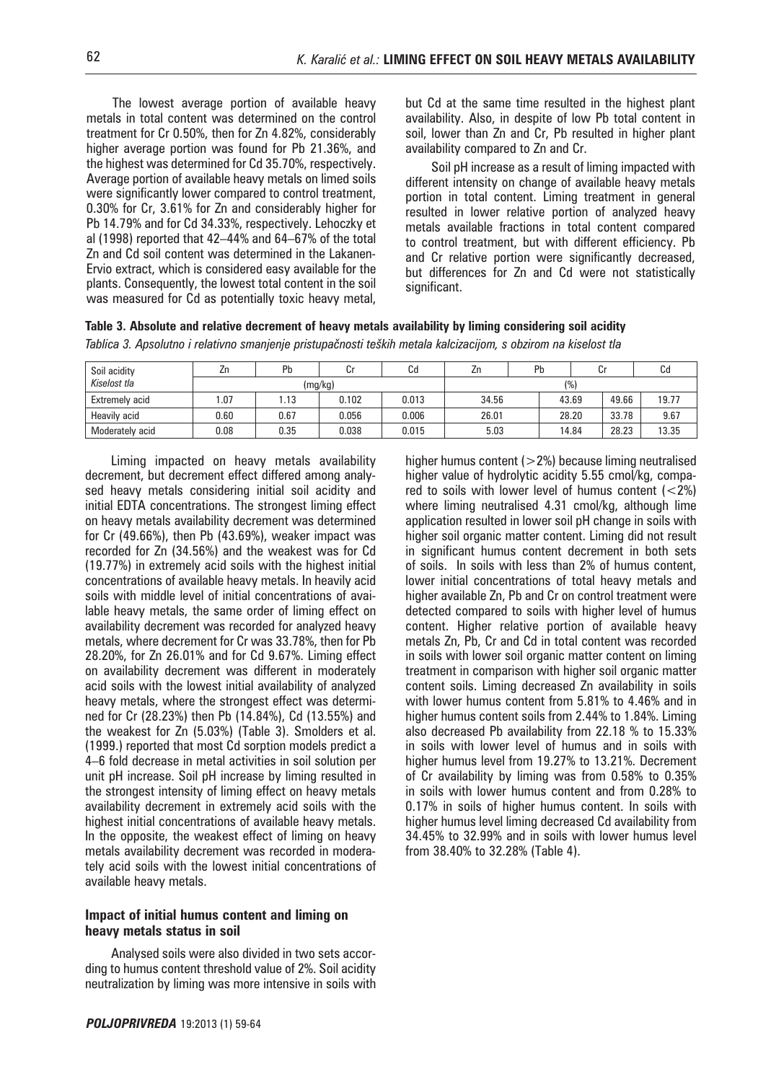The lowest average portion of available heavy metals in total content was determined on the control treatment for Cr 0.50%, then for Zn 4.82%, considerably higher average portion was found for Pb 21.36%, and the highest was determined for Cd 35.70%, respectively. Average portion of available heavy metals on limed soils were significantly lower compared to control treatment, 0.30% for Cr, 3.61% for Zn and considerably higher for Pb 14.79% and for Cd 34.33%, respectively. Lehoczky et al (1998) reported that 42–44% and 64–67% of the total Zn and Cd soil content was determined in the Lakanen-Ervio extract, which is considered easy available for the plants. Consequently, the lowest total content in the soil was measured for Cd as potentially toxic heavy metal,

but Cd at the same time resulted in the highest plant availability. Also, in despite of low Pb total content in soil, lower than Zn and Cr, Pb resulted in higher plant availability compared to Zn and Cr.

Soil pH increase as a result of liming impacted with different intensity on change of available heavy metals portion in total content. Liming treatment in general resulted in lower relative portion of analyzed heavy metals available fractions in total content compared to control treatment, but with different efficiency. Pb and Cr relative portion were significantly decreased, but differences for Zn and Cd were not statistically significant.

higher humus content  $(>2%)$  because liming neutralised higher value of hydrolytic acidity 5.55 cmol/kg, compared to soils with lower level of humus content  $(<2%)$ where liming neutralised 4.31 cmol/kg, although lime application resulted in lower soil pH change in soils with higher soil organic matter content. Liming did not result in significant humus content decrement in both sets

| Table 3. Absolute and relative decrement of heavy metals availability by liming considering soil acidity |  |  |  |  |
|----------------------------------------------------------------------------------------------------------|--|--|--|--|
|----------------------------------------------------------------------------------------------------------|--|--|--|--|

*Tablica 3. Apsolutno i relativno smanjenje pristupačnosti teških metala kalcizacijom, s obzirom na kiselost tla*

| Soil acidity          | Zn.  | Pb   | Cr      | Сd    | ۷n    | Pb | Cr             | ιa    |  |  |
|-----------------------|------|------|---------|-------|-------|----|----------------|-------|--|--|
| Kiselost tla          |      |      | (mg/kg) |       | (%)   |    |                |       |  |  |
| <b>Extremely acid</b> | .07  | .13  | 0.102   | 0.013 | 34.56 |    | 49.66<br>43.69 | 19.77 |  |  |
| Heavily acid          | 0.60 | 0.67 | 0.056   | 0.006 | 26.01 |    | 33.78<br>28.20 | 9.67  |  |  |
| Moderately acid       | 0.08 | 0.35 | 0.038   | 0.015 | 5.03  |    | 28.23<br>14.84 | 13.35 |  |  |

Liming impacted on heavy metals availability decrement, but decrement effect differed among analysed heavy metals considering initial soil acidity and initial EDTA concentrations. The strongest liming effect on heavy metals availability decrement was determined for Cr (49.66%), then Pb (43.69%), weaker impact was recorded for Zn (34.56%) and the weakest was for Cd (19.77%) in extremely acid soils with the highest initial concentrations of available heavy metals. In heavily acid soils with middle level of initial concentrations of available heavy metals, the same order of liming effect on availability decrement was recorded for analyzed heavy metals, where decrement for Cr was 33.78%, then for Pb 28.20%, for Zn 26.01% and for Cd 9.67%. Liming effect on availability decrement was different in moderately acid soils with the lowest initial availability of analyzed heavy metals, where the strongest effect was determined for Cr (28.23%) then Pb (14.84%), Cd (13.55%) and the weakest for Zn (5.03%) (Table 3). Smolders et al. (1999.) reported that most Cd sorption models predict a 4–6 fold decrease in metal activities in soil solution per unit pH increase. Soil pH increase by liming resulted in the strongest intensity of liming effect on heavy metals availability decrement in extremely acid soils with the highest initial concentrations of available heavy metals. In the opposite, the weakest effect of liming on heavy metals availability decrement was recorded in moderately acid soils with the lowest initial concentrations of available heavy metals.

#### **Impact of initial humus content and liming on heavy metals status in soil**

Analysed soils were also divided in two sets according to humus content threshold value of 2%. Soil acidity neutralization by liming was more intensive in soils with

of soils. In soils with less than 2% of humus content, lower initial concentrations of total heavy metals and higher available Zn, Pb and Cr on control treatment were detected compared to soils with higher level of humus content. Higher relative portion of available heavy metals Zn, Pb, Cr and Cd in total content was recorded in soils with lower soil organic matter content on liming treatment in comparison with higher soil organic matter content soils. Liming decreased Zn availability in soils with lower humus content from 5.81% to 4.46% and in higher humus content soils from 2.44% to 1.84%. Liming also decreased Pb availability from 22.18 % to 15.33% in soils with lower level of humus and in soils with higher humus level from 19.27% to 13.21%. Decrement of Cr availability by liming was from 0.58% to 0.35% in soils with lower humus content and from 0.28% to 0.17% in soils of higher humus content. In soils with higher humus level liming decreased Cd availability from 34.45% to 32.99% and in soils with lower humus level from 38.40% to 32.28% (Table 4).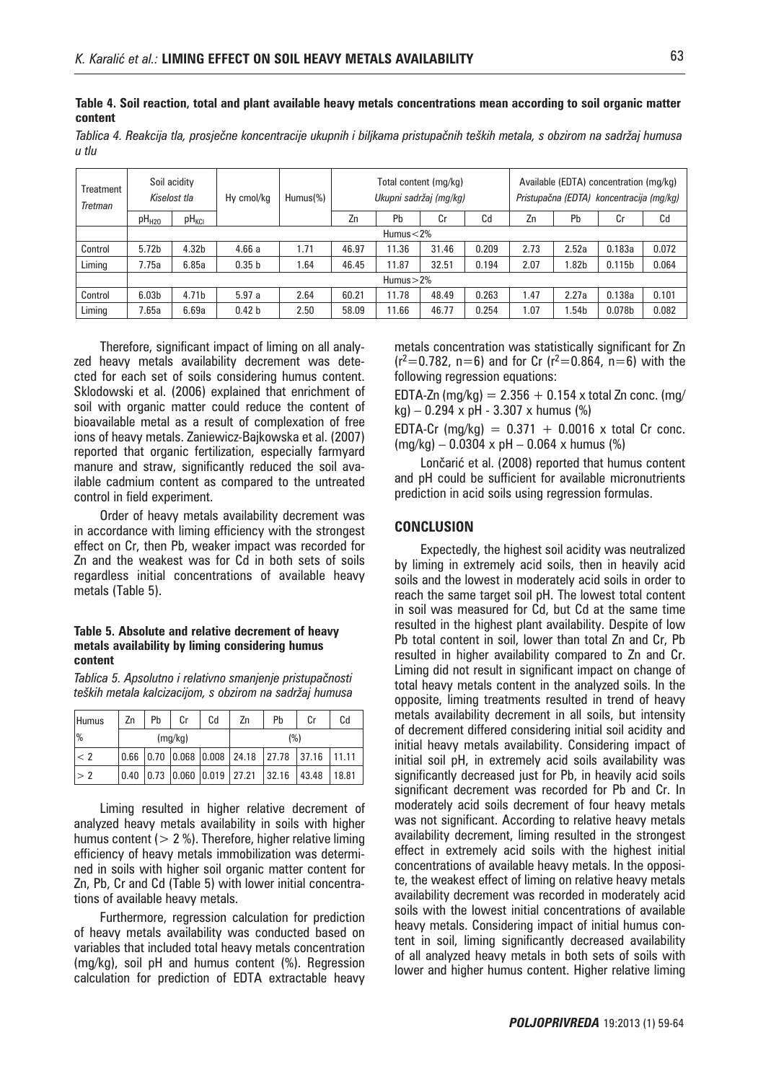**Table 4. Soil reaction, total and plant available heavy metals concentrations mean according to soil organic matter content** 

*Tablica 4. Reakcija tla, prosječne koncentracije ukupnih i biljkama pristupačnih teških metala, s obzirom na sadržaj humusa u tlu*

| <b>Treatment</b><br>Tretman | Soil acidity<br>Kiselost tla |                   | Hy cmol/kg        | Humus(%) |       |       | Total content (mg/kg)<br>Ukupni sadržaj (mg/kg) |       | Available (EDTA) concentration (mg/kg)<br>Pristupačna (EDTA) koncentracija (mg/kg) |         |                    |       |
|-----------------------------|------------------------------|-------------------|-------------------|----------|-------|-------|-------------------------------------------------|-------|------------------------------------------------------------------------------------|---------|--------------------|-------|
|                             | pH <sub>H20</sub>            | $pH_{\text{KCl}}$ |                   |          | Zn    | Pb    | Cr                                              | Cd    | Zn                                                                                 | Pb      | Cr                 | Cd    |
|                             | Humus $<$ 2%                 |                   |                   |          |       |       |                                                 |       |                                                                                    |         |                    |       |
| Control                     | 5.72 <sub>b</sub>            | 4.32 <sub>b</sub> | 4.66a             | 1.71     | 46.97 | 11.36 | 31.46                                           | 0.209 | 2.73                                                                               | 2.52a   | 0.183a             | 0.072 |
| Liming                      | 7.75a                        | 6.85a             | 0.35 <sub>b</sub> | 1.64     | 46.45 | 11.87 | 32.51                                           | 0.194 | 2.07                                                                               | .82b، ، | 0.115 <sub>b</sub> | 0.064 |
|                             | Humus $>2\%$                 |                   |                   |          |       |       |                                                 |       |                                                                                    |         |                    |       |
| Control                     | 6.03 <sub>b</sub>            | 4.71 <sub>b</sub> | 5.97a             | 2.64     | 60.21 | 11.78 | 48.49                                           | 0.263 | 1.47                                                                               | 2.27a   | 0.138a             | 0.101 |
| Liming                      | 7.65a                        | 6.69a             | 0.42 <sub>b</sub> | 2.50     | 58.09 | 11.66 | 46.77                                           | 0.254 | 1.07                                                                               | .54b    | 0.078 <sub>b</sub> | 0.082 |

Therefore, significant impact of liming on all analyzed heavy metals availability decrement was detected for each set of soils considering humus content. Sklodowski et al. (2006) explained that enrichment of soil with organic matter could reduce the content of bioavailable metal as a result of complexation of free ions of heavy metals. Zaniewicz-Bajkowska et al. (2007) reported that organic fertilization, especially farmyard manure and straw, significantly reduced the soil available cadmium content as compared to the untreated control in field experiment.

Order of heavy metals availability decrement was in accordance with liming efficiency with the strongest effect on Cr, then Pb, weaker impact was recorded for Zn and the weakest was for Cd in both sets of soils regardless initial concentrations of available heavy metals (Table 5).

#### **Table 5. Absolute and relative decrement of heavy metals availability by liming considering humus content**

*Tablica 5. Apsolutno i relativno smanjenje pristupačnosti teških metala kalcizacijom, s obzirom na sadržaj humusa*

| <b>Humus</b>  | Zn   | Pb | Cr      | Cd                     | Zn                                               | Pb    | Cr    | Cd    |  |
|---------------|------|----|---------|------------------------|--------------------------------------------------|-------|-------|-------|--|
| $\frac{9}{6}$ |      |    | (mq/kg) |                        | (%)                                              |       |       |       |  |
| < 2           |      |    |         |                        | 0.66  0.70  0.068  0.008   24.18   27.78   37.16 |       |       | 11.11 |  |
| $\geq$ 2      | 0.40 |    |         | 0.73 0.060 0.019 27.21 |                                                  | 32.16 | 43.48 | 18.81 |  |

Liming resulted in higher relative decrement of analyzed heavy metals availability in soils with higher humus content ( $> 2\%$ ). Therefore, higher relative liming efficiency of heavy metals immobilization was determined in soils with higher soil organic matter content for Zn, Pb, Cr and Cd (Table 5) with lower initial concentrations of available heavy metals.

Furthermore, regression calculation for prediction of heavy metals availability was conducted based on variables that included total heavy metals concentration (mg/kg), soil pH and humus content (%). Regression calculation for prediction of EDTA extractable heavy

metals concentration was statistically significant for Zn  $(r^2=0.782, n=6)$  and for Cr  $(r^2=0.864, n=6)$  with the following regression equations:

EDTA-Zn (mg/kg) =  $2.356 + 0.154$  x total Zn conc. (mg/ kg) – 0.294 x pH - 3.307 x humus (%)

EDTA-Cr (mg/kg) =  $0.371 + 0.0016$  x total Cr conc. (mg/kg) – 0.0304 x pH – 0.064 x humus (%)

Lončarić et al. (2008) reported that humus content and pH could be sufficient for available micronutrients prediction in acid soils using regression formulas.

## **CONCLUSION**

Expectedly, the highest soil acidity was neutralized by liming in extremely acid soils, then in heavily acid soils and the lowest in moderately acid soils in order to reach the same target soil pH. The lowest total content in soil was measured for Cd, but Cd at the same time resulted in the highest plant availability. Despite of low Pb total content in soil, lower than total Zn and Cr, Pb resulted in higher availability compared to Zn and Cr. Liming did not result in significant impact on change of total heavy metals content in the analyzed soils. In the opposite, liming treatments resulted in trend of heavy metals availability decrement in all soils, but intensity of decrement differed considering initial soil acidity and initial heavy metals availability. Considering impact of initial soil pH, in extremely acid soils availability was significantly decreased just for Pb, in heavily acid soils significant decrement was recorded for Pb and Cr. In moderately acid soils decrement of four heavy metals was not significant. According to relative heavy metals availability decrement, liming resulted in the strongest effect in extremely acid soils with the highest initial concentrations of available heavy metals. In the opposite, the weakest effect of liming on relative heavy metals availability decrement was recorded in moderately acid soils with the lowest initial concentrations of available heavy metals. Considering impact of initial humus content in soil, liming significantly decreased availability of all analyzed heavy metals in both sets of soils with lower and higher humus content. Higher relative liming